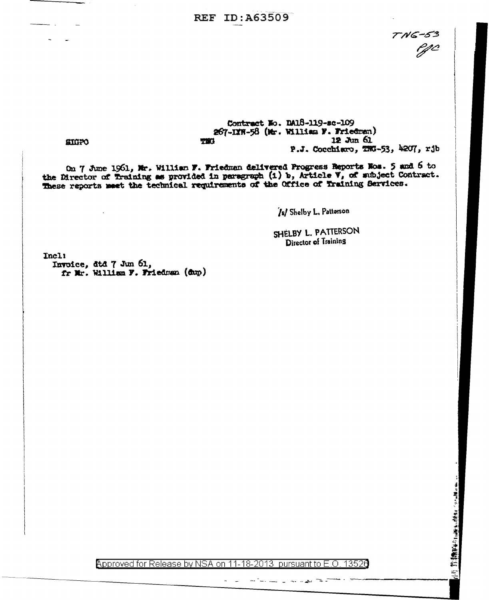## **REF ID: A63509**

7 N 6-53<br>0 P j

## Contract No. DA18-119-sc-109 267-IXW-58 (Mr. William F. Friedman)  $12 \text{ J} \text{m} 61$ 731 P.J. Cocchiaro, TNG-53, 4207, rjb

**STOPO** 

On 7 June 1961, Mr. William F. Friedman delivered Progress Beports Nos. 5 and 6 to the Director of Training as provided in paragraph (1) b, Article V, of subject Contract. These reports meet the technical requirements of

[s] Shelby L. Patterson

SHELBY L. PATTERSON Director of Training

Incl! Invoice, dtd 7 Jun 61, fr Mr. William F. Friedman (dup)

Approved for Release by NSA on 11-18-2013 pursuant to E.O. 13520